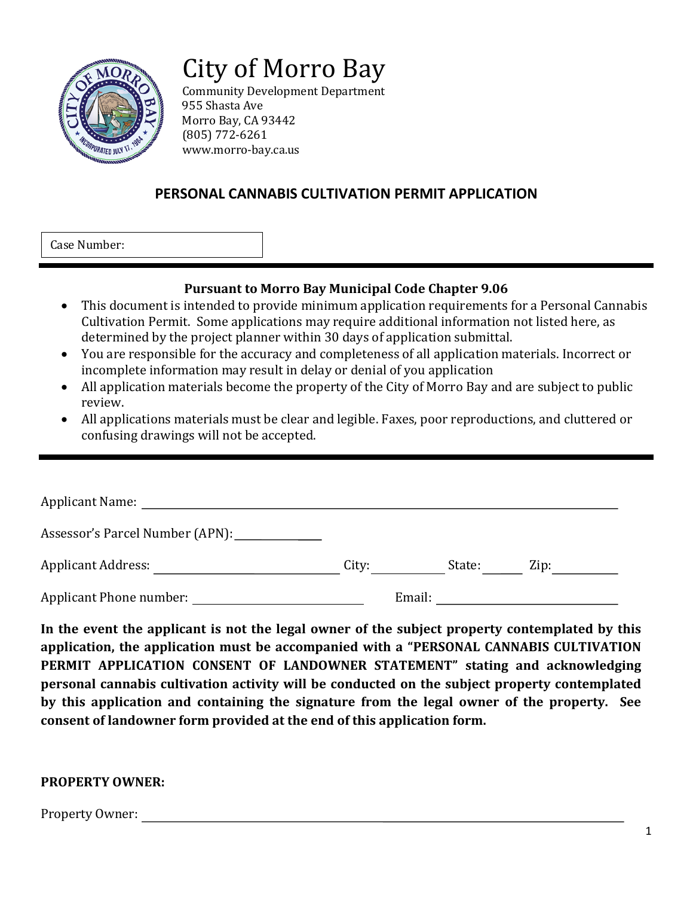

# City of Morro Bay

Community Development Department 955 Shasta Ave Morro Bay, CA 93442 (805) 772-6261 www.morro-bay.ca.us

# **PERSONAL CANNABIS CULTIVATION PERMIT APPLICATION**

# **Pursuant to Morro Bay Municipal Code Chapter 9.06**

- This document is intended to provide minimum application requirements for a Personal Cannabis Cultivation Permit. Some applications may require additional information not listed here, as determined by the project planner within 30 days of application submittal.
- You are responsible for the accuracy and completeness of all application materials. Incorrect or incomplete information may result in delay or denial of you application
- All application materials become the property of the City of Morro Bay and are subject to public review.
- All applications materials must be clear and legible. Faxes, poor reproductions, and cluttered or confusing drawings will not be accepted.

| <b>Applicant Name:</b>          |       |        |        |      |
|---------------------------------|-------|--------|--------|------|
| Assessor's Parcel Number (APN): |       |        |        |      |
| <b>Applicant Address:</b>       | City: |        | State: | Zip: |
| Applicant Phone number:         |       | Email: |        |      |

**In the event the applicant is not the legal owner of the subject property contemplated by this application, the application must be accompanied with a "PERSONAL CANNABIS CULTIVATION PERMIT APPLICATION CONSENT OF LANDOWNER STATEMENT" stating and acknowledging personal cannabis cultivation activity will be conducted on the subject property contemplated by this application and containing the signature from the legal owner of the property. See consent of landowner form provided at the end of this application form.** 

#### **PROPERTY OWNER:**

#### Property Owner: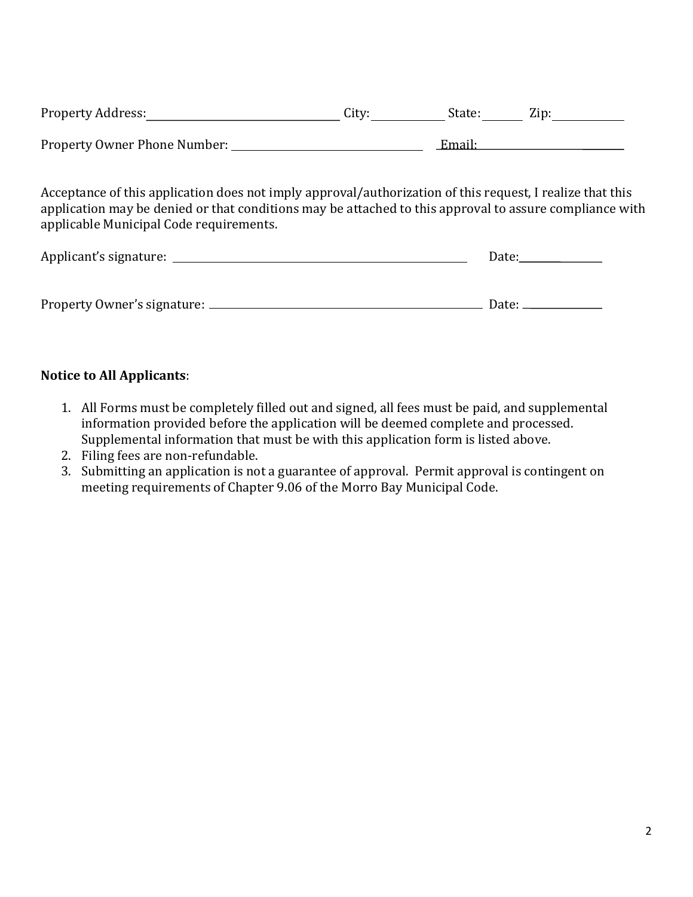| <b>Property Address:</b>     | Citv: | State: | Zip: |
|------------------------------|-------|--------|------|
|                              |       |        |      |
| Property Owner Phone Number: |       | Email: |      |

Acceptance of this application does not imply approval/authorization of this request, I realize that this application may be denied or that conditions may be attached to this approval to assure compliance with applicable Municipal Code requirements.

| Applicant's signature: _ |  | Date: |
|--------------------------|--|-------|
|                          |  |       |
|                          |  |       |

| Property Owner's signature: _ | Date: |
|-------------------------------|-------|
|                               |       |

## **Notice to All Applicants**:

- 1. All Forms must be completely filled out and signed, all fees must be paid, and supplemental information provided before the application will be deemed complete and processed. Supplemental information that must be with this application form is listed above.
- 2. Filing fees are non-refundable.
- 3. Submitting an application is not a guarantee of approval. Permit approval is contingent on meeting requirements of Chapter 9.06 of the Morro Bay Municipal Code.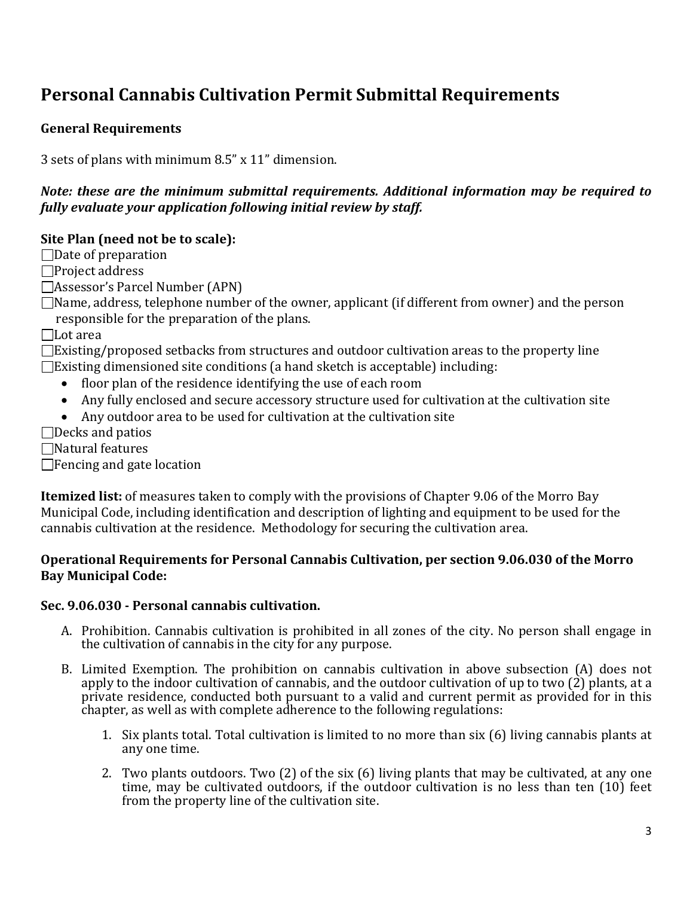# **Personal Cannabis Cultivation Permit Submittal Requirements**

### **General Requirements**

3 sets of plans with minimum 8.5" x 11" dimension.

#### *Note: these are the minimum submittal requirements. Additional information may be required to fully evaluate your application following initial review by staff.*

#### **Site Plan (need not be to scale):**

 $\Box$ Date of preparation

 $\Box$ Project address

Assessor's Parcel Number (APN)

Name, address, telephone number of the owner, applicant (if different from owner) and the person responsible for the preparation of the plans.

 $\Box$ Lot area

 $\Box$ Existing/proposed setbacks from structures and outdoor cultivation areas to the property line  $\Box$  Existing dimensioned site conditions (a hand sketch is acceptable) including:

- floor plan of the residence identifying the use of each room
- Any fully enclosed and secure accessory structure used for cultivation at the cultivation site
- Any outdoor area to be used for cultivation at the cultivation site

 $\Box$ Decks and patios

 $\Box$ Natural features

 $\Box$  Fencing and gate location

**Itemized list:** of measures taken to comply with the provisions of Chapter 9.06 of the Morro Bay Municipal Code, including identification and description of lighting and equipment to be used for the cannabis cultivation at the residence. Methodology for securing the cultivation area.

#### **Operational Requirements for Personal Cannabis Cultivation, per section 9.06.030 of the Morro Bay Municipal Code:**

#### **Sec. 9.06.030 - Personal cannabis cultivation.**

- A. Prohibition. Cannabis cultivation is prohibited in all zones of the city. No person shall engage in the cultivation of cannabis in the city for any purpose.
- B. Limited Exemption. The prohibition on cannabis cultivation in above subsection (A) does not apply to the indoor cultivation of cannabis, and the outdoor cultivation of up to two  $(2)$  plants, at a private residence, conducted both pursuant to a valid and current permit as provided for in this chapter, as well as with complete adherence to the following regulations:
	- 1. Six plants total. Total cultivation is limited to no more than six (6) living cannabis plants at any one time.
	- 2. Two plants outdoors. Two (2) of the six (6) living plants that may be cultivated, at any one time, may be cultivated outdoors, if the outdoor cultivation is no less than ten (10) feet from the property line of the cultivation site.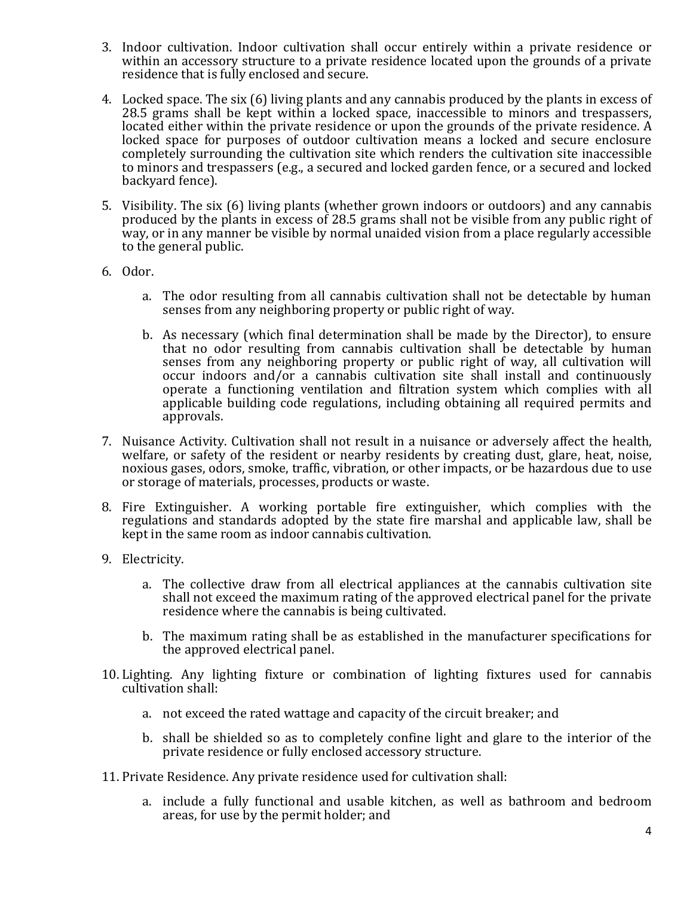- 3. Indoor cultivation. Indoor cultivation shall occur entirely within a private residence or within an accessory structure to a private residence located upon the grounds of a private residence that is fully enclosed and secure.
- 4. Locked space. The six (6) living plants and any cannabis produced by the plants in excess of 28.5 grams shall be kept within a locked space, inaccessible to minors and trespassers, located either within the private residence or upon the grounds of the private residence. A locked space for purposes of outdoor cultivation means a locked and secure enclosure completely surrounding the cultivation site which renders the cultivation site inaccessible to minors and trespassers (e.g., a secured and locked garden fence, or a secured and locked backyard fence).
- 5. Visibility. The six (6) living plants (whether grown indoors or outdoors) and any cannabis produced by the plants in excess of 28.5 grams shall not be visible from any public right of way, or in any manner be visible by normal unaided vision from a place regularly accessible to the general public.
- 6. Odor.
	- a. The odor resulting from all cannabis cultivation shall not be detectable by human senses from any neighboring property or public right of way.
	- b. As necessary (which final determination shall be made by the Director), to ensure that no odor resulting from cannabis cultivation shall be detectable by human senses from any neighboring property or public right of way, all cultivation will occur indoors and/or a cannabis cultivation site shall install and continuously operate a functioning ventilation and filtration system which complies with all applicable building code regulations, including obtaining all required permits and approvals.
- 7. Nuisance Activity. Cultivation shall not result in a nuisance or adversely affect the health, welfare, or safety of the resident or nearby residents by creating dust, glare, heat, noise, noxious gases, odors, smoke, traffic, vibration, or other impacts, or be hazardous due to use or storage of materials, processes, products or waste.
- 8. Fire Extinguisher. A working portable fire extinguisher, which complies with the regulations and standards adopted by the state fire marshal and applicable law, shall be kept in the same room as indoor cannabis cultivation.
- 9. Electricity.
	- a. The collective draw from all electrical appliances at the cannabis cultivation site shall not exceed the maximum rating of the approved electrical panel for the private residence where the cannabis is being cultivated.
	- b. The maximum rating shall be as established in the manufacturer specifications for the approved electrical panel.
- 10. Lighting. Any lighting fixture or combination of lighting fixtures used for cannabis cultivation shall:
	- a. not exceed the rated wattage and capacity of the circuit breaker; and
	- b. shall be shielded so as to completely confine light and glare to the interior of the private residence or fully enclosed accessory structure.
- 11. Private Residence. Any private residence used for cultivation shall:
	- a. include a fully functional and usable kitchen, as well as bathroom and bedroom areas, for use by the permit holder; and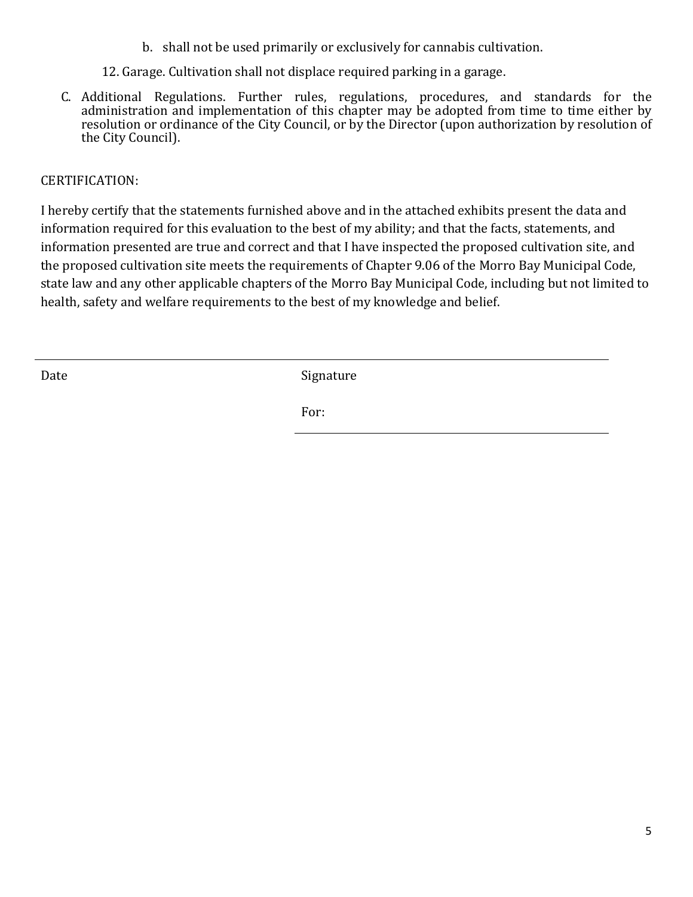- b. shall not be used primarily or exclusively for cannabis cultivation.
- 12. Garage. Cultivation shall not displace required parking in a garage.
- C. Additional Regulations. Further rules, regulations, procedures, and standards for the administration and implementation of this chapter may be adopted from time to time either by resolution or ordinance of the City Council, or by the Director (upon authorization by resolution of the City Council).

# CERTIFICATION:

I hereby certify that the statements furnished above and in the attached exhibits present the data and information required for this evaluation to the best of my ability; and that the facts, statements, and information presented are true and correct and that I have inspected the proposed cultivation site, and the proposed cultivation site meets the requirements of Chapter 9.06 of the Morro Bay Municipal Code, state law and any other applicable chapters of the Morro Bay Municipal Code, including but not limited to health, safety and welfare requirements to the best of my knowledge and belief.

Date Signature

For: